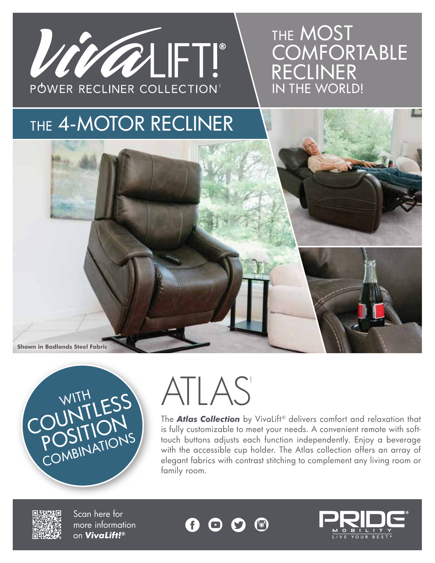

### THE MOST **COMFORTABLE** RECLINER IN THE WORLD!

### THE 4-MOTOR RECLINER

**Shown in Badlands Steel Fabric**



## ATLAS<sup>1</sup>

The *Atlas Collection* by VivaLift® delivers comfort and relaxation that is fully customizable to meet your needs. A convenient remote with softtouch buttons adjusts each function independently. Enjoy a beverage with the accessible cup holder. The Atlas collection offers an array of elegant fabrics with contrast stitching to complement any living room or family room.



Scan here for more information on *VivaLift!®*